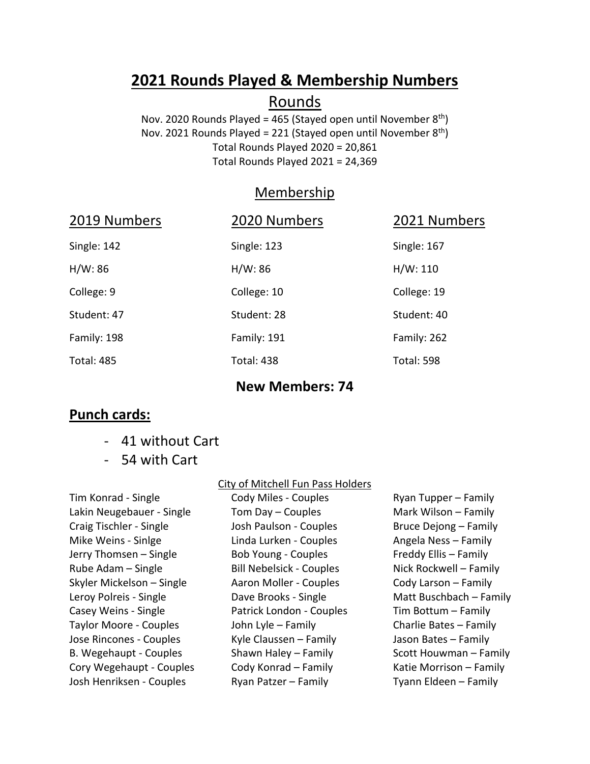# **2021 Rounds Played & Membership Numbers**

## Rounds

Nov. 2020 Rounds Played = 465 (Stayed open until November  $8<sup>th</sup>$ ) Nov. 2021 Rounds Played = 221 (Stayed open until November  $8<sup>th</sup>$ ) Total Rounds Played 2020 = 20,861 Total Rounds Played 2021 = 24,369

## Membership

| 2019 Numbers      | 2020 Numbers      | 2021 Numbers      |
|-------------------|-------------------|-------------------|
| Single: 142       | Single: 123       | Single: 167       |
| H/W: 86           | H/W: 86           | H/W: 110          |
| College: 9        | College: 10       | College: 19       |
| Student: 47       | Student: 28       | Student: 40       |
| Family: 198       | Family: 191       | Family: 262       |
| <b>Total: 485</b> | <b>Total: 438</b> | <b>Total: 598</b> |
|                   |                   |                   |

#### **Punch cards:**

- 41 without Cart
- 54 with Cart

Tim Konrad - Single Lakin Neugebauer - Single Craig Tischler - Single Mike Weins - Sinlge Jerry Thomsen – Single Rube Adam – Single Skyler Mickelson – Single Leroy Polreis - Single Casey Weins - Single Taylor Moore - Couples Jose Rincones - Couples B. Wegehaupt - Couples Cory Wegehaupt - Couples Josh Henriksen - Couples

#### City of Mitchell Fun Pass Holders

**New Members: 74**

Cody Miles - Couples Tom Day – Couples Josh Paulson - Couples Linda Lurken - Couples Bob Young - Couples Bill Nebelsick - Couples Aaron Moller - Couples Dave Brooks - Single Patrick London - Couples John Lyle – Family Kyle Claussen – Family Shawn Haley – Family Cody Konrad – Family Ryan Patzer – Family

Ryan Tupper – Family Mark Wilson – Family Bruce Dejong – Family Angela Ness – Family Freddy Ellis – Family Nick Rockwell – Family Cody Larson – Family Matt Buschbach – Family Tim Bottum – Family Charlie Bates – Family Jason Bates – Family Scott Houwman – Family Katie Morrison – Family Tyann Eldeen – Family